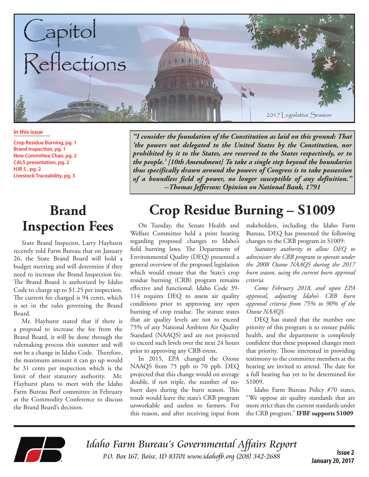

#### **In this issue**

**Crop Residue Burning, pg. 1 Brand Inspection, pg. 1 New Committee Chair, pg. 2 CALS presentation, pg. 2 HJR 5 , pg. 2 Livestock Traceability, pg. 3**

#### **Brand Inspection Fees**

State Brand Inspector, Larry Hayhurst recently told Farm Bureau that on January 26, the State Brand Board will hold a budget meeting and will determine if they need to increase the Brand Inspection fee. The Brand Board is authorized by Idaho Code to charge up to \$1.25 per inspection. The current fee charged is 94 cents, which is set in the rules governing the Brand Board.

Mr. Hayhurst stated that if there is a proposal to increase the fee from the Brand Board, it will be done through the rulemaking process this summer and will not be a change in Idaho Code. Therefore, the maximum amount it can go up would be 31 cents per inspection which is the limit of their statutory authority. Mr. Hayhurst plans to meet with the Idaho Farm Bureau Beef committee in February at the Commodity Conference to discuss the Brand Board's decision.

*"I consider the foundation of the Constitution as laid on this ground: That 'the powers not delegated to the United States by the Constitution, nor prohibited by it to the States, are reserved to the States respectively, or to the people.' [10th Amendment] To take a single step beyond the boundaries thus specifically drawn around the powers of Congress is to take possession of a boundless field of power, no longer susceptible of any definition." --Thomas Jefferson: Opinion on National Bank, 1791*

# **Crop Residue Burning – S1009**

On Tuesday, the Senate Health and Welfare Committee held a print hearing regarding proposed changes to Idaho's field burning laws. The Department of Environmental Quality (DEQ) presented a general overview of the proposed legislation which would ensure that the State's crop residue burning (CRB) program remains effective and functional. Idaho Code 39- 114 requires DEQ to assess air quality conditions prior to approving any open burning of crop residue. The statute states that air quality levels are not to exceed 75% of any National Ambient Air Quality Standard (NAAQS) and are not projected to exceed such levels over the next 24 hours prior to approving any CRB event.

In 2015, EPA changed the Ozone NAAQS from 75 ppb to 70 ppb. DEQ projected that this change would on average double, if not triple, the number of noburn days during the burn season. This result would leave the state's CRB program unworkable and useless to farmers. For this reason, and after receiving input from stakeholders, including the Idaho Farm Bureau, DEQ has presented the following changes to the CRB program in S1009:

*Statutory authority to allow DEQ to administer the CRB program to operate under the 2008 Ozone NAAQS during the 2017 burn season, using the current burn approval criteria.* 

*Come February 2018, and upon EPA approval, adjusting Idaho's CRB burn approval criteria from 75% to 90% of the Ozone NAAQS.*

DEQ has stated that the number one priority of this program is to ensure public health, and the department is completely confident that these proposed changes meet that priority. Those interested in providing testimony to the committee members at the hearing are invited to attend. The date for a full hearing has yet to be determined for S<sub>1009</sub>.

Idaho Farm Bureau Policy #70 states, "We oppose air quality standards that are more strict than the current standards under the CRB program." **IFBF supports S1009**



Idaho Farm Bureau's Governmental Affairs Report P.O. Box 167, Boise, ID 83701 www.idahofb.org (208) 342-2688

**Issue 2 January 20, 2017**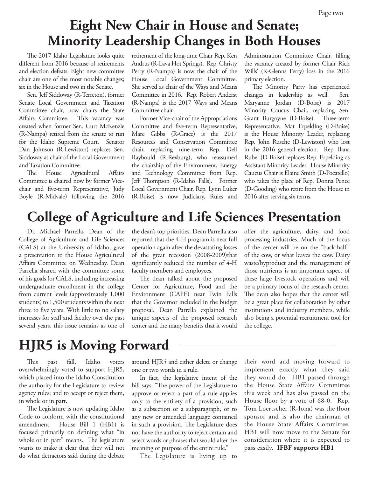# **Eight New Chair in House and Senate; Minority Leadership Changes in Both Houses**

The 2017 Idaho Legislature looks quite different from 2016 because of retirements and election defeats. Eight new committee chair are one of the most notable changes; six in the House and two in the Senate.

Sen. Jeff Siddoway (R-Terreton), former Senate Local Government and Taxation Committee chair, now chairs the State Affairs Committee. This vacancy was created when former Sen. Curt McKenzie (R-Nampa) retired from the senate to run for the Idaho Supreme Court. Senator Dan Johnson (R-Lewiston) replaces Sen. Siddoway as chair of the Local Government and Taxation Committee.

The House Agricultural Affairs Committee is chaired now by former Vicechair and five-term Representative, Judy Boyle (R-Midvale) following the 2016 retirement of the long-time Chair Rep. Ken Andrus (R-Lava Hot Springs). Rep. Christy Perry (R-Nampa) is now the chair of the House Local Government Committee. She served as chair of the Ways and Means Committee in 2016. Rep. Robert Anderst (R-Nampa) is the 2017 Ways and Means Committee chair.

Former Vice-chair of the Appropriations Committee and five-term Representative, Marc Gibbs (R-Grace) is the 2017 Resources and Conservation Committee chair, replacing nine-term Rep. Dell Raybould (R-Rexburg), who reassumed the chairship of the Environment, Energy and Technology Committee from Rep. Jeff Thompson (R-Idaho Falls). Former Local Government Chair, Rep. Lynn Luker (R-Boise) is now Judiciary, Rules and

Administration Committee Chair, filling the vacancy created by former Chair Rich Wills' (R-Glenns Ferry) loss in the 2016 primary election.

The Minority Party has experienced changes in leadership as well. Sen. Maryanne Jordan (D-Boise) is 2017 Minority Caucus Chair, replacing Sen. Grant Burgoyne (D-Boise). Three-term Representative, Mat Erpelding (D-Boise) is the House Minority Leader, replacing Rep. John Rusche (D-Lewiston) who lost in the 2016 general election. Rep. Ilana Rubel (D-Boise) replaces Rep. Erpelding as Assistant Minority Leader. House Minority Caucus Chair is Elaine Smith (D-Pocatello) who takes the place of Rep. Donna Pence (D-Gooding) who retire from the House in 2016 after serving six terms.

## **College of Agriculture and Life Sciences Presentation**

Dr. Michael Parrella, Dean of the College of Agriculture and Life Sciences (CALS) at the University of Idaho, gave a presentation to the House Agricultural Affairs Committee on Wednesday. Dean Parrella shared with the committee some of his goals for CALS, including increasing undergraduate enrollment in the college from current levels (approximately 1,000 students) to 1,500 students within the next three to five years. With little to no salary increases for staff and faculty over the past several years, this issue remains as one of the dean's top priorities. Dean Parrella also reported that the 4-H program is near full operation again after the devastating losses of the great recession (2008-2009)that significantly reduced the number of 4-H faculty members and employees.

The dean talked about the proposed Center for Agriculture, Food and the Environment (CAFE) near Twin Falls that the Governor included in the budget proposal. Dean Parrella explained the unique aspects of the proposed research center and the many benefits that it would offer the agriculture, dairy, and food processing industries. Much of the focus of the center will be on the "back-half" of the cow, or what leaves the cow. Dairy waste/byproduct and the management of those nutrients is an important aspect of these large livestock operations and will be a primary focus of the research center. The dean also hopes that the center will be a great place for collaboration by other institutions and industry members, while also being a potential recruitment tool for the college.

## **HJR5 is Moving Forward**

This past fall, Idaho voters overwhelmingly voted to support HJR5, which placed into the Idaho Constitution the authority for the Legislature to review agency rules; and to accept or reject them, in whole or in part.

The Legislature is now updating Idaho Code to conform with the constitutional amendment. House Bill 1 (HB1) is focused primarily on defining what "in whole or in part" means. The legislature wants to make it clear that they will not do what detractors said during the debate around HJR5 and either delete or change one or two words in a rule.

In fact, the legislative intent of the bill says: "The power of the Legislature to approve or reject a part of a rule applies only to the entirety of a provision, such as a subsection or a subparagraph, or to any new or amended language contained in such a provision. The Legislature does not have the authority to reject certain and select words or phrases that would alter the meaning or purpose of the entire rule."

The Legislature is living up to

their word and moving forward to implement exactly what they said they would do. HB1 passed through the House State Affairs Committee this week and has also passed on the House floor by a vote of 68-0. Rep. Tom Loertscher (R-Iona) was the floor sponsor and is also the chairman of the House State Affairs Committee. HB1 will now move to the Senate for consideration where it is expected to pass easily. **IFBF supports HB1**